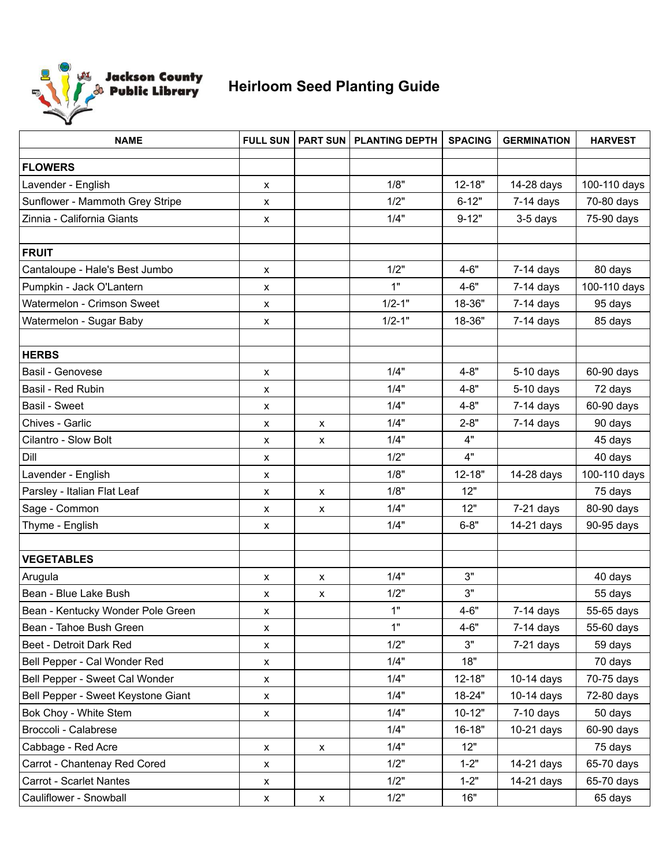

## **Heirloom Seed Planting Guide**

| <b>NAME</b>                        | <b>FULL SUN</b>    | <b>PART SUN</b>    | <b>PLANTING DEPTH</b> | <b>SPACING</b> | <b>GERMINATION</b> | <b>HARVEST</b> |
|------------------------------------|--------------------|--------------------|-----------------------|----------------|--------------------|----------------|
| <b>FLOWERS</b>                     |                    |                    |                       |                |                    |                |
| Lavender - English                 | X                  |                    | 1/8"                  | $12 - 18"$     | 14-28 days         | 100-110 days   |
| Sunflower - Mammoth Grey Stripe    | x                  |                    | 1/2"                  | $6 - 12"$      | $7-14$ days        | 70-80 days     |
| Zinnia - California Giants         | $\pmb{\times}$     |                    | 1/4"                  | $9 - 12"$      | 3-5 days           | 75-90 days     |
|                                    |                    |                    |                       |                |                    |                |
| <b>FRUIT</b>                       |                    |                    |                       |                |                    |                |
| Cantaloupe - Hale's Best Jumbo     | $\pmb{\times}$     |                    | 1/2"                  | $4 - 6"$       | $7-14$ days        | 80 days        |
| Pumpkin - Jack O'Lantern           | X                  |                    | 1"                    | $4 - 6"$       | $7-14$ days        | 100-110 days   |
| Watermelon - Crimson Sweet         | $\pmb{\mathsf{x}}$ |                    | $1/2 - 1"$            | 18-36"         | $7-14$ days        | 95 days        |
| Watermelon - Sugar Baby            | X                  |                    | $1/2 - 1"$            | 18-36"         | $7-14$ days        | 85 days        |
|                                    |                    |                    |                       |                |                    |                |
| <b>HERBS</b>                       |                    |                    |                       |                |                    |                |
| Basil - Genovese                   | $\pmb{\times}$     |                    | 1/4"                  | $4 - 8"$       | $5-10$ days        | 60-90 days     |
| Basil - Red Rubin                  | X                  |                    | 1/4"                  | $4 - 8"$       | 5-10 days          | 72 days        |
| Basil - Sweet                      | X                  |                    | 1/4"                  | $4 - 8"$       | $7-14$ days        | 60-90 days     |
| Chives - Garlic                    | $\pmb{\times}$     | x                  | 1/4"                  | $2 - 8"$       | $7-14$ days        | 90 days        |
| Cilantro - Slow Bolt               | X                  | X                  | 1/4"                  | 4"             |                    | 45 days        |
| Dill                               | X                  |                    | 1/2"                  | 4"             |                    | 40 days        |
| Lavender - English                 | $\pmb{\mathsf{X}}$ |                    | 1/8"                  | $12 - 18"$     | 14-28 days         | 100-110 days   |
| Parsley - Italian Flat Leaf        | X                  | X                  | 1/8"                  | 12"            |                    | 75 days        |
| Sage - Common                      | X                  | x                  | 1/4"                  | 12"            | $7-21$ days        | 80-90 days     |
| Thyme - English                    | $\pmb{\mathsf{x}}$ |                    | 1/4"                  | $6 - 8"$       | 14-21 days         | 90-95 days     |
|                                    |                    |                    |                       |                |                    |                |
| <b>VEGETABLES</b>                  |                    |                    |                       |                |                    |                |
| Arugula                            | $\pmb{\chi}$       | $\pmb{\mathsf{X}}$ | 1/4"                  | 3"             |                    | 40 days        |
| Bean - Blue Lake Bush              | X                  | X                  | 1/2"                  | 3"             |                    | 55 days        |
| Bean - Kentucky Wonder Pole Green  | $\pmb{\mathsf{x}}$ |                    | 1"                    | $4 - 6"$       | $7-14$ days        | 55-65 days     |
| Bean - Tahoe Bush Green            | X                  |                    | 1"                    | $4 - 6"$       | $7-14$ days        | 55-60 days     |
| Beet - Detroit Dark Red            | X                  |                    | 1/2"                  | 3"             | $7-21$ days        | 59 days        |
| Bell Pepper - Cal Wonder Red       | X                  |                    | 1/4"                  | 18"            |                    | 70 days        |
| Bell Pepper - Sweet Cal Wonder     | $\pmb{\mathsf{X}}$ |                    | 1/4"                  | $12 - 18"$     | 10-14 days         | 70-75 days     |
| Bell Pepper - Sweet Keystone Giant | $\pmb{\mathsf{x}}$ |                    | 1/4"                  | 18-24"         | 10-14 days         | 72-80 days     |
| Bok Choy - White Stem              | X                  |                    | 1/4"                  | $10 - 12"$     | $7-10$ days        | 50 days        |
| Broccoli - Calabrese               |                    |                    | 1/4"                  | 16-18"         | 10-21 days         | 60-90 days     |
| Cabbage - Red Acre                 | $\pmb{\mathsf{x}}$ | X                  | 1/4"                  | 12"            |                    | 75 days        |
| Carrot - Chantenay Red Cored       | X                  |                    | 1/2"                  | $1 - 2"$       | 14-21 days         | 65-70 days     |
| Carrot - Scarlet Nantes            | X                  |                    | 1/2"                  | $1 - 2"$       | 14-21 days         | 65-70 days     |
| Cauliflower - Snowball             | X                  | $\pmb{\mathsf{x}}$ | 1/2"                  | 16"            |                    | 65 days        |